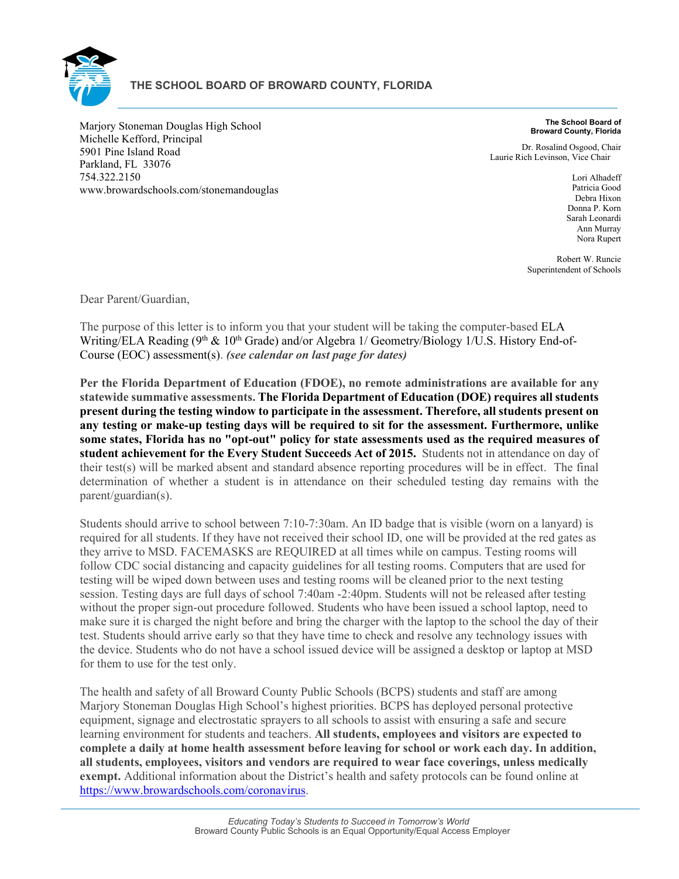

Marjory Stoneman Douglas High School Michelle Kefford, Principal 5901 Pine Island Road Parkland, FL 33076 754.322.2150 www.browardschools.com/stonemandouglas

**The School Board of Broward County, Florida**

Dr. Rosalind Osgood, Chair Laurie Rich Levinson, Vice Chair

> Lori Alhadeff Patricia Good Debra Hixon Donna P. Korn Sarah Leonardi Ann Murray Nora Rupert

Robert W. Runcie Superintendent of Schools

Dear Parent/Guardian,

The purpose of this letter is to inform you that your student will be taking the computer-based ELA Writing/ELA Reading (9<sup>th</sup> & 10<sup>th</sup> Grade) and/or Algebra 1/ Geometry/Biology 1/U.S. History End-of-Course (EOC) assessment(s). *(see calendar on last page for dates)*

**Per the Florida Department of Education (FDOE), no remote administrations are available for any statewide summative assessments. The Florida Department of Education (DOE) requires all students present during the testing window to participate in the assessment. Therefore, all students present on any testing or make-up testing days will be required to sit for the assessment. Furthermore, unlike some states, Florida has no "opt-out" policy for state assessments used as the required measures of student achievement for the Every Student Succeeds Act of 2015.** Students not in attendance on day of their test(s) will be marked absent and standard absence reporting procedures will be in effect. The final determination of whether a student is in attendance on their scheduled testing day remains with the parent/guardian(s).

Students should arrive to school between 7:10-7:30am. An ID badge that is visible (worn on a lanyard) is required for all students. If they have not received their school ID, one will be provided at the red gates as they arrive to MSD. FACEMASKS are REQUIRED at all times while on campus. Testing rooms will follow CDC social distancing and capacity guidelines for all testing rooms. Computers that are used for testing will be wiped down between uses and testing rooms will be cleaned prior to the next testing session. Testing days are full days of school 7:40am -2:40pm. Students will not be released after testing without the proper sign-out procedure followed. Students who have been issued a school laptop, need to make sure it is charged the night before and bring the charger with the laptop to the school the day of their test. Students should arrive early so that they have time to check and resolve any technology issues with the device. Students who do not have a school issued device will be assigned a desktop or laptop at MSD for them to use for the test only.

The health and safety of all Broward County Public Schools (BCPS) students and staff are among Marjory Stoneman Douglas High School's highest priorities. BCPS has deployed personal protective equipment, signage and electrostatic sprayers to all schools to assist with ensuring a safe and secure learning environment for students and teachers. **All students, employees and visitors are expected to complete a daily at home health assessment before leaving for school or work each day. In addition, all students, employees, visitors and vendors are required to wear face coverings, unless medically exempt.** Additional information about the District's health and safety protocols can be found online at [https://www.browardschools.com/coronavirus.](https://www.browardschools.com/coronavirus)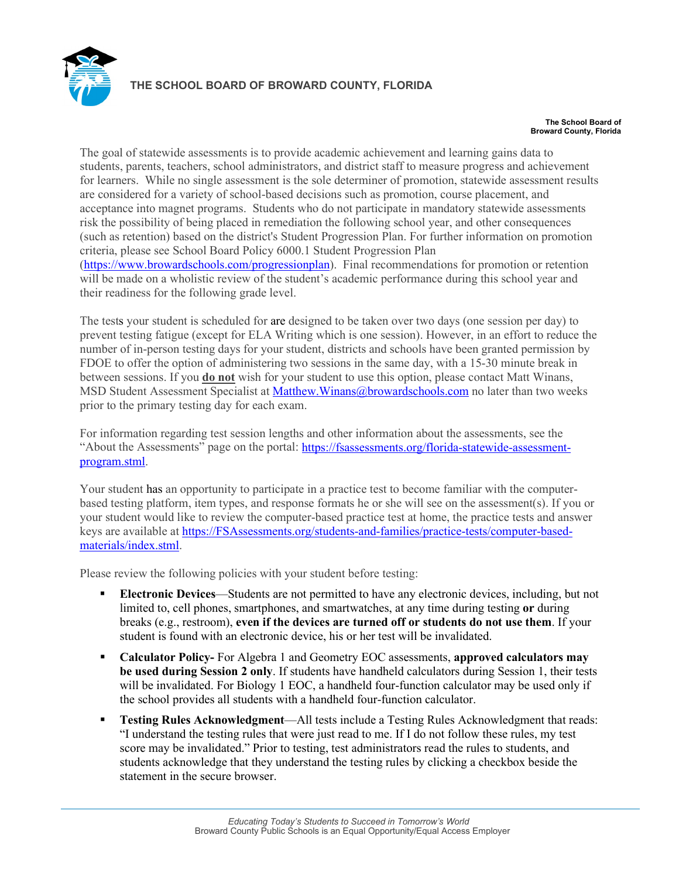

#### **THE SCHOOL BOARD OF BROWARD COUNTY, FLORIDA**

#### **The School Board of Broward County, Florida**

The goal of statewide assessments is to provide academic achievement and learning gains data to students, parents, teachers, school administrators, and district staff to measure progress and achievement for learners. While no single assessment is the sole determiner of promotion, statewide assessment results are considered for a variety of school-based decisions such as promotion, course placement, and acceptance into magnet programs. Students who do not participate in mandatory statewide assessments risk the possibility of being placed in remediation the following school year, and other consequences (such as retention) based on the district's Student Progression Plan. For further information on promotion criteria, please see School Board Policy 6000.1 Student Progression Plan [\(https://www.browardschools.com/progressionplan\)](https://www.browardschools.com/progressionplan). Final recommendations for promotion or retention will be made on a wholistic review of the student's academic performance during this school year and their readiness for the following grade level.

The tests your student is scheduled for are designed to be taken over two days (one session per day) to prevent testing fatigue (except for ELA Writing which is one session). However, in an effort to reduce the number of in-person testing days for your student, districts and schools have been granted permission by FDOE to offer the option of administering two sessions in the same day, with a 15-30 minute break in between sessions. If you **do not** wish for your student to use this option, please contact Matt Winans, MSD Student Assessment Specialist at [Matthew.Winans@browardschools.com](mailto:Matthew.Winans@browardschools.com) no later than two weeks prior to the primary testing day for each exam.

For information regarding test session lengths and other information about the assessments, see the "About the Assessments" page on the portal: [https://fsassessments.org/florida-statewide-assessment](https://fsassessments.org/florida-statewide-assessment-program.stml)[program.stml.](https://fsassessments.org/florida-statewide-assessment-program.stml)

Your student has an opportunity to participate in a practice test to become familiar with the computerbased testing platform, item types, and response formats he or she will see on the assessment(s). If you or your student would like to review the computer-based practice test at home, the practice tests and answer keys are available at [https://FSAssessments.org/students-and-families/practice-tests/computer-based](https://fsassessments.org/students-and-families/practice-tests/computer-based-materials/index.stml)[materials/index.stml.](https://fsassessments.org/students-and-families/practice-tests/computer-based-materials/index.stml)

Please review the following policies with your student before testing:

- **Electronic Devices**—Students are not permitted to have any electronic devices, including, but not limited to, cell phones, smartphones, and smartwatches, at any time during testing **or** during breaks (e.g., restroom), **even if the devices are turned off or students do not use them**. If your student is found with an electronic device, his or her test will be invalidated.
- **Calculator Policy-** For Algebra 1 and Geometry EOC assessments, **approved calculators may be used during Session 2 only**. If students have handheld calculators during Session 1, their tests will be invalidated. For Biology 1 EOC, a handheld four-function calculator may be used only if the school provides all students with a handheld four-function calculator.
- **Testing Rules Acknowledgment**—All tests include a Testing Rules Acknowledgment that reads: "I understand the testing rules that were just read to me. If I do not follow these rules, my test score may be invalidated." Prior to testing, test administrators read the rules to students, and students acknowledge that they understand the testing rules by clicking a checkbox beside the statement in the secure browser.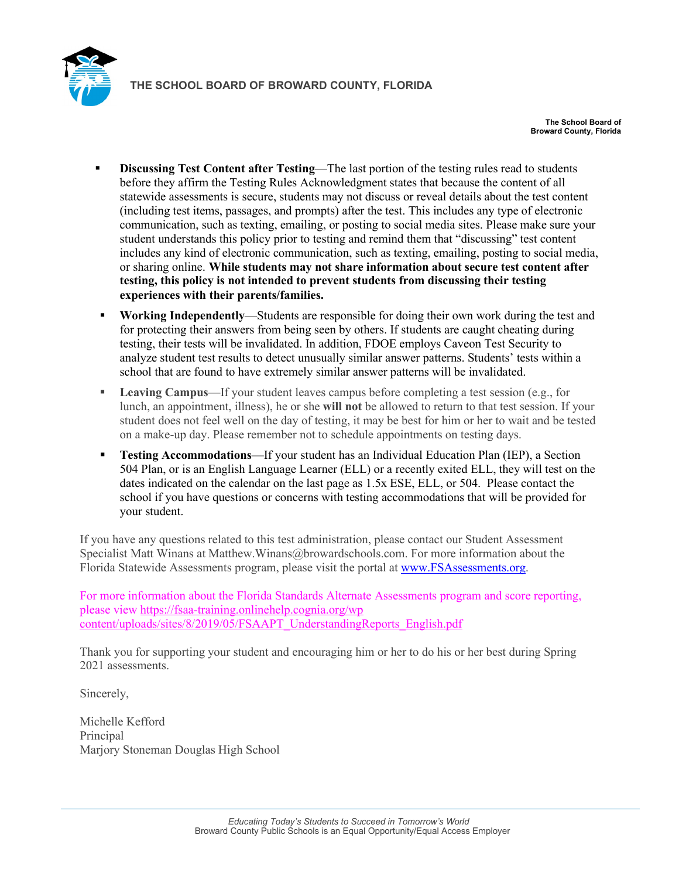

**The School Board of Broward County, Florida**

- **Discussing Test Content after Testing**—The last portion of the testing rules read to students before they affirm the Testing Rules Acknowledgment states that because the content of all statewide assessments is secure, students may not discuss or reveal details about the test content (including test items, passages, and prompts) after the test. This includes any type of electronic communication, such as texting, emailing, or posting to social media sites. Please make sure your student understands this policy prior to testing and remind them that "discussing" test content includes any kind of electronic communication, such as texting, emailing, posting to social media, or sharing online. **While students may not share information about secure test content after testing, this policy is not intended to prevent students from discussing their testing experiences with their parents/families.**
- **Working Independently**—Students are responsible for doing their own work during the test and for protecting their answers from being seen by others. If students are caught cheating during testing, their tests will be invalidated. In addition, FDOE employs Caveon Test Security to analyze student test results to detect unusually similar answer patterns. Students' tests within a school that are found to have extremely similar answer patterns will be invalidated.
- **Leaving Campus**—If your student leaves campus before completing a test session (e.g., for lunch, an appointment, illness), he or she **will not** be allowed to return to that test session. If your student does not feel well on the day of testing, it may be best for him or her to wait and be tested on a make-up day. Please remember not to schedule appointments on testing days.
- **Testing Accommodations**—If your student has an Individual Education Plan (IEP), a Section 504 Plan, or is an English Language Learner (ELL) or a recently exited ELL, they will test on the dates indicated on the calendar on the last page as 1.5x ESE, ELL, or 504. Please contact the school if you have questions or concerns with testing accommodations that will be provided for your student.

If you have any questions related to this test administration, please contact our Student Assessment Specialist Matt Winans at Matthew.Winans@browardschools.com. For more information about the Florida Statewide Assessments program, please visit the portal at [www.FSAssessments.org.](http://www.fsassessments.org/)

For more information about the Florida Standards Alternate Assessments program and score reporting, please view [https://fsaa-training.onlinehelp.cognia.org/wp](https://fsaa-training.onlinehelp.cognia.org/wp-content/uploads/sites/8/2019/05/FSAAPT_UnderstandingReports_English.pdf)  [content/uploads/sites/8/2019/05/FSAAPT\\_UnderstandingReports\\_English.pdf](https://fsaa-training.onlinehelp.cognia.org/wp-content/uploads/sites/8/2019/05/FSAAPT_UnderstandingReports_English.pdf)

Thank you for supporting your student and encouraging him or her to do his or her best during Spring 2021 assessments.

Sincerely,

Michelle Kefford **Principal** Marjory Stoneman Douglas High School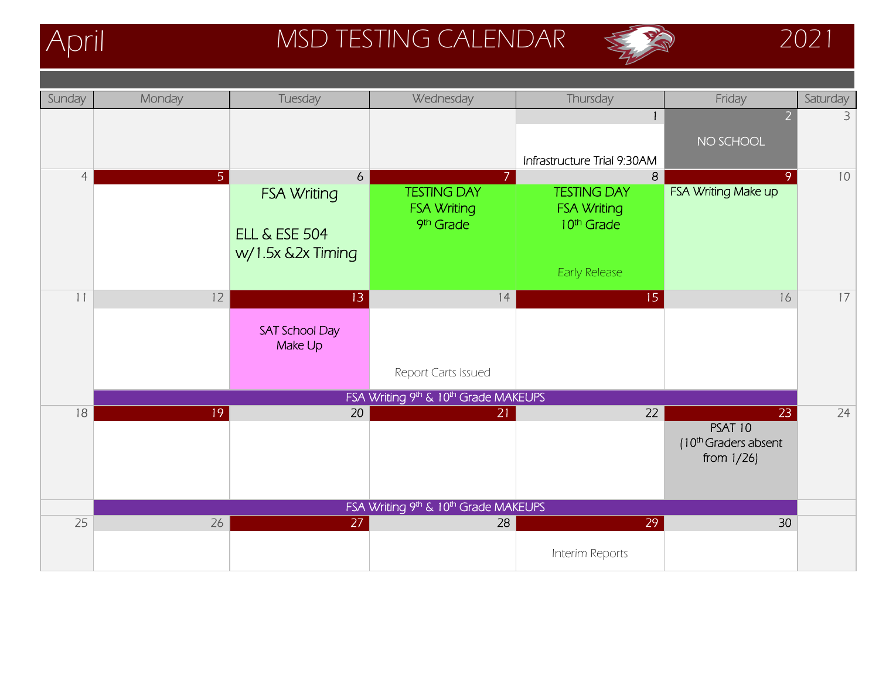

## April MSD TESTING CALENDAR 2021



| Sunday         | Monday            | Tuesday                                                                  | Wednesday                                             | Thursday                                                                                 | Friday                                                           | Saturday |
|----------------|-------------------|--------------------------------------------------------------------------|-------------------------------------------------------|------------------------------------------------------------------------------------------|------------------------------------------------------------------|----------|
|                |                   |                                                                          |                                                       |                                                                                          | $\overline{2}$<br>NO SCHOOL                                      | 3        |
|                |                   |                                                                          |                                                       | Infrastructure Trial 9:30AM                                                              |                                                                  |          |
| $\overline{4}$ | 5 <sup>1</sup>    | 6<br><b>FSA Writing</b><br><b>ELL &amp; ESE 504</b><br>w/1.5x &2x Timing | <b>TESTING DAY</b><br><b>FSA Writing</b><br>9th Grade | 8<br><b>TESTING DAY</b><br><b>FSA Writing</b><br>10 <sup>th</sup> Grade<br>Early Release | 9<br>FSA Writing Make up                                         | 10       |
| 11             | $12 \overline{ }$ | 13                                                                       | 14                                                    | 15                                                                                       | 16                                                               | 17       |
|                |                   | <b>SAT School Day</b><br>Make Up                                         |                                                       |                                                                                          |                                                                  |          |
|                |                   |                                                                          | Report Carts Issued                                   |                                                                                          |                                                                  |          |
|                |                   |                                                                          | FSA Writing 9th & 10th Grade MAKEUPS                  |                                                                                          |                                                                  |          |
| 18             | 19                | 20                                                                       | 21                                                    | 22                                                                                       | 23<br>PSAT 10<br>(10 <sup>th</sup> Graders absent<br>from $1/26$ | 24       |
|                |                   |                                                                          | FSA Writing 9th & 10th Grade MAKEUPS                  |                                                                                          |                                                                  |          |
| 25             | 26                | 27                                                                       | 28                                                    | 29                                                                                       | 30                                                               |          |
|                |                   |                                                                          |                                                       | Interim Reports                                                                          |                                                                  |          |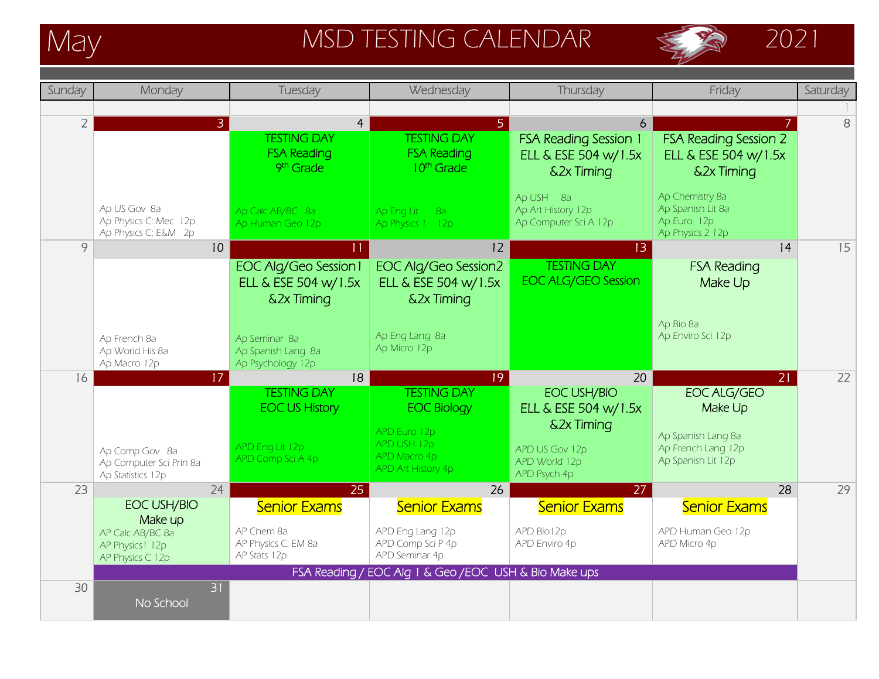

# May MSD TESTING CALENDAR  $\bigotimes$  2021





| Sunday         | Monday                                                                                    | Tuesday                                                                             | Wednesday                                                                                                                                | Thursday                                                                           | Friday                                                                  | Saturday |
|----------------|-------------------------------------------------------------------------------------------|-------------------------------------------------------------------------------------|------------------------------------------------------------------------------------------------------------------------------------------|------------------------------------------------------------------------------------|-------------------------------------------------------------------------|----------|
|                |                                                                                           |                                                                                     |                                                                                                                                          |                                                                                    |                                                                         |          |
| $\overline{2}$ | $\mathbf{B}$                                                                              | $\overline{4}$<br><b>TESTING DAY</b><br><b>FSA Reading</b><br>9 <sup>th</sup> Grade | 5.<br><b>TESTING DAY</b><br><b>FSA Reading</b><br>10 <sup>th</sup> Grade                                                                 | 6<br><b>FSA Reading Session 1</b><br>ELL & ESE 504 w/1.5x<br><b>&amp;2x Timing</b> | <b>FSA Reading Session 2</b><br>ELL & ESE 504 w/1.5x<br>&2x Timing      | 8        |
|                | Ap US Gov 8a<br>Ap Physics C: Mec 12p<br>Ap Physics C; E&M 2p                             | Ap Calc AB/BC 8a<br>Ap Human Geo 12p                                                | Ap Eng Lit<br>8a<br>Ap Physics 1 12p                                                                                                     | Ap USH 8a<br>Ap Art History 12p<br>Ap Computer Sci A 12p                           | Ap Chemistry 8a<br>Ap Spanish Lit 8a<br>Ap Euro 12p<br>Ap Physics 2 12p |          |
| 9              | 10                                                                                        | <b>EOC Alg/Geo Session1</b><br>ELL & ESE 504 w/1.5x<br><b>&amp;2x Timing</b>        | 12<br><b>EOC Alg/Geo Session2</b><br>ELL & ESE 504 w/1.5x<br>&2x Timing                                                                  | 13<br><b>TESTING DAY</b><br><b>EOC ALG/GEO Session</b>                             | 4<br><b>FSA Reading</b><br>Make Up                                      | 15       |
|                | Ap French 8a<br>Ap World His 8a<br>Ap Macro 12p                                           | Ap Seminar 8a<br>Ap Spanish Lang 8a<br>Ap Psychology 12p                            | Ap Eng Lang 8a<br>Ap Micro 12p                                                                                                           |                                                                                    | Ap Bio 8a<br>Ap Enviro Sci 12p                                          |          |
| 16             | 17                                                                                        | 18<br><b>TESTING DAY</b>                                                            | 19<br><b>TESTING DAY</b>                                                                                                                 | 20<br>EOC USH/BIO                                                                  | 21<br><b>EOC ALG/GEO</b>                                                | 22       |
|                |                                                                                           | <b>EOC US History</b>                                                               | <b>EOC Biology</b>                                                                                                                       | ELL & ESE 504 w/1.5x                                                               | Make Up                                                                 |          |
|                | Ap Comp Gov 8a<br>Ap Computer Sci Prin 8a<br>Ap Statistics 12p                            | APD Eng Lit 12p<br>APD Comp Sci A 4p                                                | APD Euro 12p<br>APD USH 12p<br>APD Macro 4p<br>APD Art History 4p                                                                        | <b>&amp;2x Timing</b><br>APD US Gov 12p<br>APD World 12p<br>APD Psych 4p           | Ap Spanish Lang 8a<br>Ap French Lang 12p<br>Ap Spanish Lit 12p          |          |
| 23             | 24                                                                                        | 25                                                                                  | 26                                                                                                                                       | 27                                                                                 | 28                                                                      | 29       |
|                | <b>EOC USH/BIO</b><br>Make up<br>AP Calc AB/BC 8a<br>AP Physics 1 12p<br>AP Physics C 12p | <b>Senior Exams</b><br>AP Chem 8a<br>AP Physics C: EM 8a<br>AP Stats 12p            | <b>Senior Exams</b><br>APD Eng Lang 12p<br>APD Comp Sci P 4p<br>APD Seminar 4p<br>FSA Reading / EOC Alg 1 & Geo / EOC USH & Bio Make ups | <b>Senior Exams</b><br>APD Bio12p<br>APD Enviro 4p                                 | <b>Senior Exams</b><br>APD Human Geo 12p<br>APD Micro 4p                |          |
| 30             | 31<br>No School                                                                           |                                                                                     |                                                                                                                                          |                                                                                    |                                                                         |          |